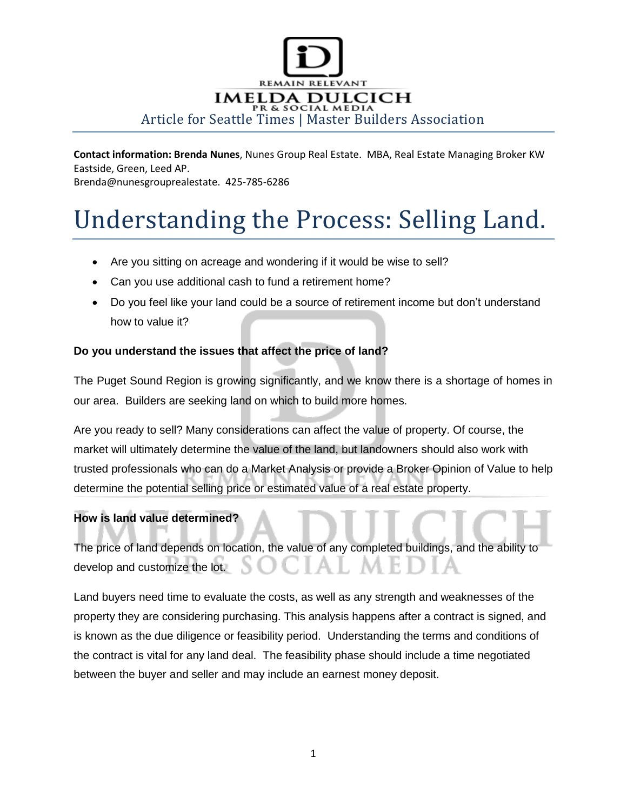

**Contact information: Brenda Nunes**, Nunes Group Real Estate. MBA, Real Estate Managing Broker KW Eastside, Green, Leed AP.

Brenda@nunesgrouprealestate. 425-785-6286

## Understanding the Process: Selling Land.

- Are you sitting on acreage and wondering if it would be wise to sell?
- Can you use additional cash to fund a retirement home?
- Do you feel like your land could be a source of retirement income but don't understand how to value it?

## **Do you understand the issues that affect the price of land?**

The Puget Sound Region is growing significantly, and we know there is a shortage of homes in our area. Builders are seeking land on which to build more homes.

Are you ready to sell? Many considerations can affect the value of property. Of course, the market will ultimately determine the value of the land, but landowners should also work with trusted professionals who can do a Market Analysis or provide a Broker Opinion of Value to help determine the potential selling price or estimated value of a real estate property.

## **How is land value determined?**

The price of land depends on location, the value of any completed buildings, and the ability to develop and customize the lot.

Land buyers need time to evaluate the costs, as well as any strength and weaknesses of the property they are considering purchasing. This analysis happens after a contract is signed, and is known as the due diligence or feasibility period. Understanding the terms and conditions of the contract is vital for any land deal. The feasibility phase should include a time negotiated between the buyer and seller and may include an earnest money deposit.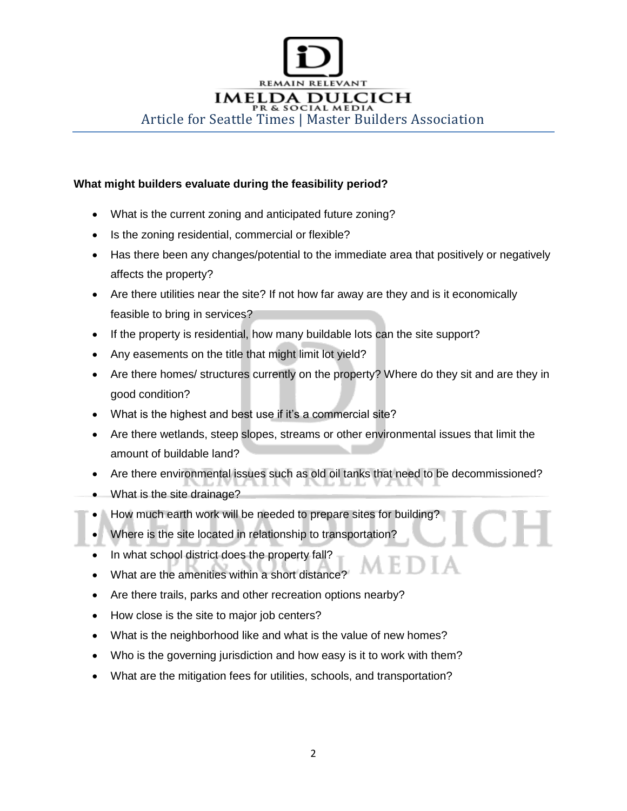

## **What might builders evaluate during the feasibility period?**

- What is the current zoning and anticipated future zoning?
- Is the zoning residential, commercial or flexible?
- Has there been any changes/potential to the immediate area that positively or negatively affects the property?
- Are there utilities near the site? If not how far away are they and is it economically feasible to bring in services?
- If the property is residential, how many buildable lots can the site support?
- Any easements on the title that might limit lot yield?
- Are there homes/ structures currently on the property? Where do they sit and are they in good condition?
- What is the highest and best use if it's a commercial site?
- Are there wetlands, steep slopes, streams or other environmental issues that limit the amount of buildable land?
- Are there environmental issues such as old oil tanks that need to be decommissioned?
- What is the site drainage?
- How much earth work will be needed to prepare sites for building?
- Where is the site located in relationship to transportation?
- In what school district does the property fall?
- What are the amenities within a short distance?
- Are there trails, parks and other recreation options nearby?
- How close is the site to major job centers?
- What is the neighborhood like and what is the value of new homes?
- Who is the governing jurisdiction and how easy is it to work with them?
- What are the mitigation fees for utilities, schools, and transportation?